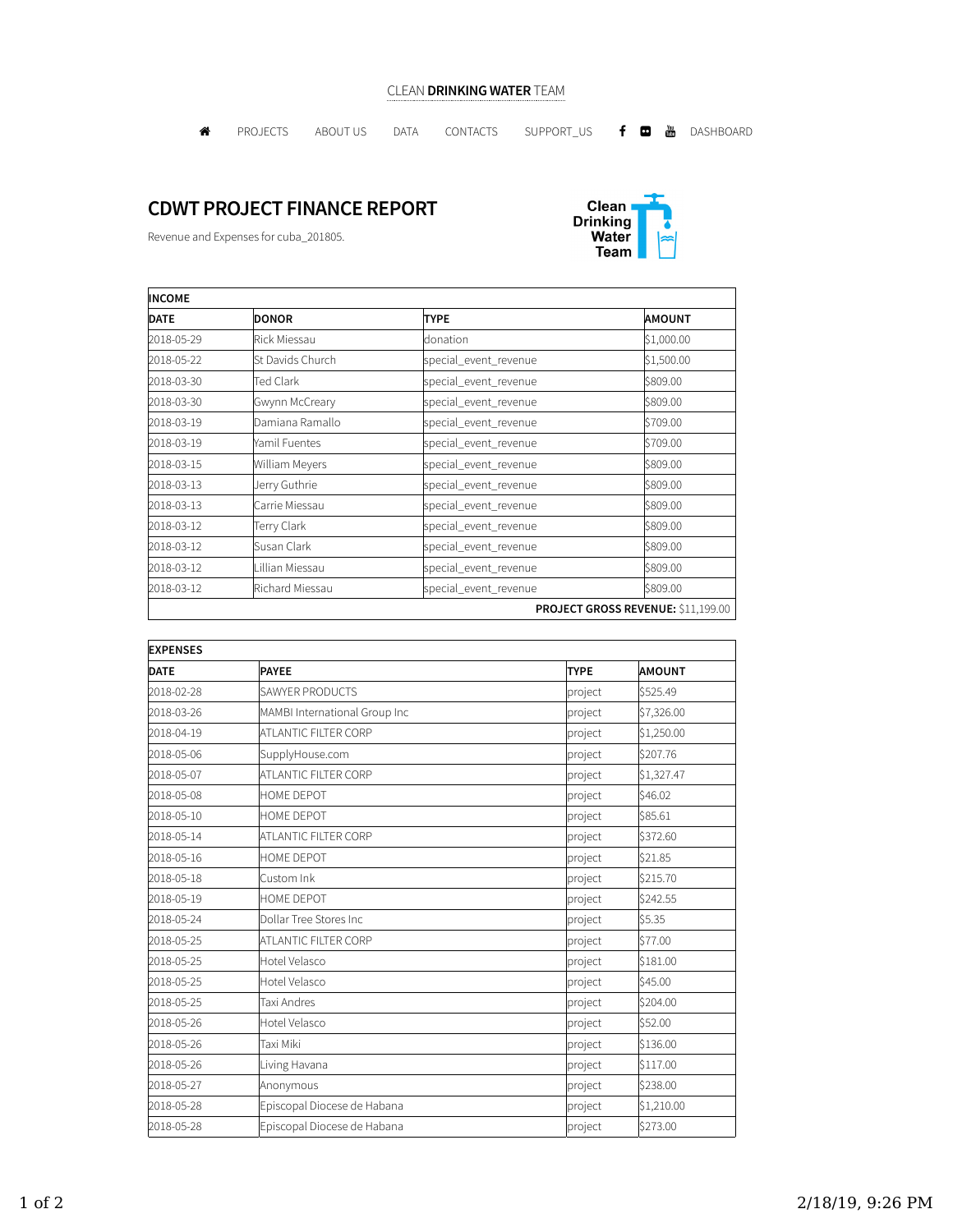## CLEAN DRINKING WATER TEAM

**A** PROJECTS ABOUTUS DATA CONTACTS SUPPORT\_US **f @** @ DASHBOARD

## CDWT PROJECT FINANCE REPORT

Revenue and Expenses for cuba\_201805.



| <b>INCOME</b>                      |                  |                       |               |  |  |
|------------------------------------|------------------|-----------------------|---------------|--|--|
| <b>DATE</b>                        | <b>DONOR</b>     | <b>TYPE</b>           | <b>AMOUNT</b> |  |  |
| 2018-05-29                         | Rick Miessau     | donation              | \$1,000.00    |  |  |
| 2018-05-22                         | St Davids Church | special_event_revenue | \$1,500.00    |  |  |
| 2018-03-30                         | Ted Clark        | special_event_revenue | \$809.00      |  |  |
| 2018-03-30                         | Gwynn McCreary   | special_event_revenue | \$809.00      |  |  |
| 2018-03-19                         | Damiana Ramallo  | special_event_revenue | \$709.00      |  |  |
| 2018-03-19                         | Yamil Fuentes    | special_event_revenue | \$709.00      |  |  |
| 2018-03-15                         | William Meyers   | special_event_revenue | \$809.00      |  |  |
| 2018-03-13                         | Jerry Guthrie    | special_event_revenue | \$809.00      |  |  |
| 2018-03-13                         | Carrie Miessau   | special_event_revenue | \$809.00      |  |  |
| 2018-03-12                         | Terry Clark      | special_event_revenue | \$809.00      |  |  |
| 2018-03-12                         | Susan Clark      | special_event_revenue | \$809.00      |  |  |
| 2018-03-12                         | Lillian Miessau  | special_event_revenue | \$809.00      |  |  |
| 2018-03-12                         | Richard Miessau  | special_event_revenue | \$809.00      |  |  |
| PROJECT GROSS REVENUE: \$11,199.00 |                  |                       |               |  |  |

| <b>EXPENSES</b> |                               |             |               |  |  |
|-----------------|-------------------------------|-------------|---------------|--|--|
| <b>DATE</b>     | <b>PAYEE</b>                  | <b>TYPE</b> | <b>AMOUNT</b> |  |  |
| 2018-02-28      | SAWYER PRODUCTS               | project     | \$525.49      |  |  |
| 2018-03-26      | MAMBI International Group Inc | project     | \$7,326.00    |  |  |
| 2018-04-19      | ATLANTIC FILTER CORP          | project     | \$1,250.00    |  |  |
| 2018-05-06      | SupplyHouse.com               | project     | \$207.76      |  |  |
| 2018-05-07      | <b>ATLANTIC FILTER CORP</b>   | project     | \$1,327.47    |  |  |
| 2018-05-08      | <b>HOME DEPOT</b>             | project     | \$46.02       |  |  |
| 2018-05-10      | HOME DEPOT                    | project     | \$85.61       |  |  |
| 2018-05-14      | <b>ATLANTIC FILTER CORP</b>   | project     | \$372.60      |  |  |
| 2018-05-16      | <b>HOME DEPOT</b>             | project     | \$21.85       |  |  |
| 2018-05-18      | Custom Ink                    | project     | \$215.70      |  |  |
| 2018-05-19      | HOME DEPOT                    | project     | \$242.55      |  |  |
| 2018-05-24      | Dollar Tree Stores Inc        | project     | \$5.35        |  |  |
| 2018-05-25      | ATLANTIC FILTER CORP          | project     | \$77.00       |  |  |
| 2018-05-25      | Hotel Velasco                 | project     | \$181.00      |  |  |
| 2018-05-25      | Hotel Velasco                 | project     | \$45.00       |  |  |
| 2018-05-25      | Taxi Andres                   | project     | \$204.00      |  |  |
| 2018-05-26      | Hotel Velasco                 | project     | \$52.00       |  |  |
| 2018-05-26      | Taxi Miki                     | project     | \$136.00      |  |  |
| 2018-05-26      | Living Havana                 | project     | \$117.00      |  |  |
| 2018-05-27      | Anonymous                     | project     | \$238.00      |  |  |
| 2018-05-28      | Episcopal Diocese de Habana   | project     | \$1,210.00    |  |  |
| 2018-05-28      | Episcopal Diocese de Habana   | project     | \$273.00      |  |  |